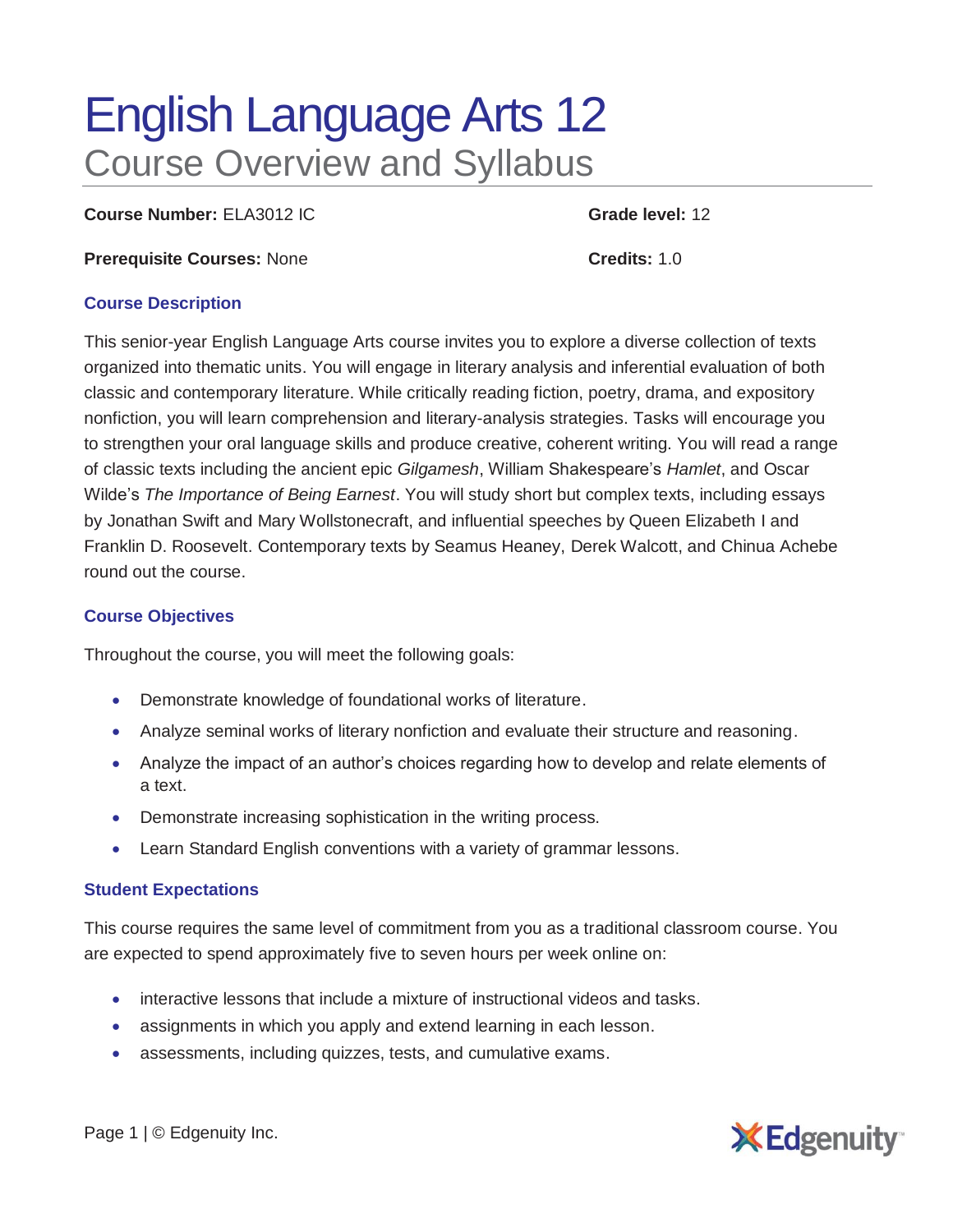# English Language Arts 12 Course Overview and Syllabus

**Course Number:** ELA3012 IC **Grade level:** 12

**Prerequisite Courses:** None **Credits:** 1.0

#### **Course Description**

This senior-year English Language Arts course invites you to explore a diverse collection of texts organized into thematic units. You will engage in literary analysis and inferential evaluation of both classic and contemporary literature. While critically reading fiction, poetry, drama, and expository nonfiction, you will learn comprehension and literary-analysis strategies. Tasks will encourage you to strengthen your oral language skills and produce creative, coherent writing. You will read a range of classic texts including the ancient epic *Gilgamesh*, William Shakespeare's *Hamlet*, and Oscar Wilde's *The Importance of Being Earnest*. You will study short but complex texts, including essays by Jonathan Swift and Mary Wollstonecraft, and influential speeches by Queen Elizabeth I and Franklin D. Roosevelt. Contemporary texts by Seamus Heaney, Derek Walcott, and Chinua Achebe round out the course.

### **Course Objectives**

Throughout the course, you will meet the following goals:

- Demonstrate knowledge of foundational works of literature.
- Analyze seminal works of literary nonfiction and evaluate their structure and reasoning.
- Analyze the impact of an author's choices regarding how to develop and relate elements of a text.
- Demonstrate increasing sophistication in the writing process.
- Learn Standard English conventions with a variety of grammar lessons.

### **Student Expectations**

This course requires the same level of commitment from you as a traditional classroom course. You are expected to spend approximately five to seven hours per week online on:

- interactive lessons that include a mixture of instructional videos and tasks.
- assignments in which you apply and extend learning in each lesson.
- assessments, including quizzes, tests, and cumulative exams.



Page 1 | © Edgenuity Inc.